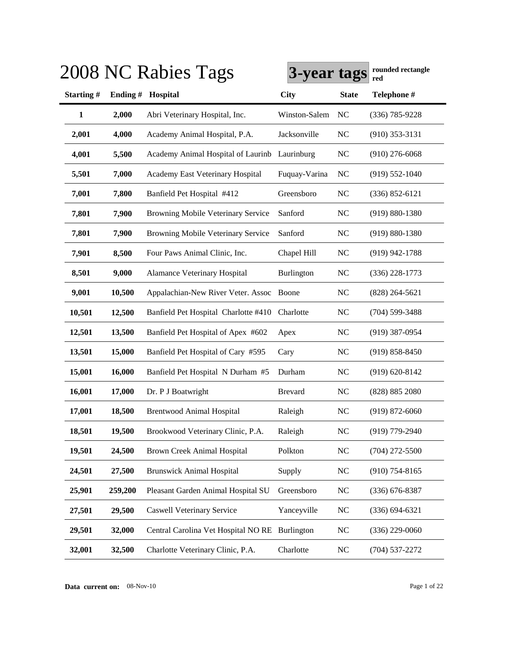|              |         | 2008 NC Rabies Tags                           | 3-year tags    |                | rounded rectangle<br>red |
|--------------|---------|-----------------------------------------------|----------------|----------------|--------------------------|
| Starting#    |         | Ending # Hospital                             | <b>City</b>    | <b>State</b>   | Telephone #              |
| $\mathbf{1}$ | 2,000   | Abri Veterinary Hospital, Inc.                | Winston-Salem  | N <sub>C</sub> | $(336) 785 - 9228$       |
| 2,001        | 4,000   | Academy Animal Hospital, P.A.                 | Jacksonville   | NC             | $(910)$ 353-3131         |
| 4,001        | 5,500   | Academy Animal Hospital of Laurinb Laurinburg |                | <b>NC</b>      | $(910)$ 276-6068         |
| 5,501        | 7,000   | Academy East Veterinary Hospital              | Fuquay-Varina  | <b>NC</b>      | $(919) 552 - 1040$       |
| 7,001        | 7,800   | Banfield Pet Hospital #412                    | Greensboro     | <b>NC</b>      | $(336) 852 - 6121$       |
| 7,801        | 7,900   | Browning Mobile Veterinary Service            | Sanford        | <b>NC</b>      | $(919) 880 - 1380$       |
| 7,801        | 7,900   | Browning Mobile Veterinary Service            | Sanford        | <b>NC</b>      | $(919) 880 - 1380$       |
| 7,901        | 8,500   | Four Paws Animal Clinic, Inc.                 | Chapel Hill    | <b>NC</b>      | $(919)$ 942-1788         |
| 8,501        | 9,000   | <b>Alamance Veterinary Hospital</b>           | Burlington     | <b>NC</b>      | $(336)$ 228-1773         |
| 9,001        | 10,500  | Appalachian-New River Veter. Assoc Boone      |                | <b>NC</b>      | $(828)$ 264-5621         |
| 10,501       | 12,500  | Banfield Pet Hospital Charlotte #410          | Charlotte      | <b>NC</b>      | $(704)$ 599-3488         |
| 12,501       | 13,500  | Banfield Pet Hospital of Apex #602            | Apex           | N <sub>C</sub> | $(919)$ 387-0954         |
| 13,501       | 15,000  | Banfield Pet Hospital of Cary #595            | Cary           | N <sub>C</sub> | $(919) 858 - 8450$       |
| 15,001       | 16,000  | Banfield Pet Hospital N Durham #5             | Durham         | <b>NC</b>      | $(919) 620 - 8142$       |
| 16,001       | 17,000  | Dr. P J Boatwright                            | <b>Brevard</b> | NC             | (828) 885 2080           |
| 17,001       | 18,500  | <b>Brentwood Animal Hospital</b>              | Raleigh        | <b>NC</b>      | $(919) 872 - 6060$       |
| 18,501       | 19,500  | Brookwood Veterinary Clinic, P.A.             | Raleigh        | NC             | (919) 779-2940           |
| 19,501       | 24,500  | Brown Creek Animal Hospital                   | Polkton        | $NC$           | $(704)$ 272-5500         |
| 24,501       | 27,500  | <b>Brunswick Animal Hospital</b>              | Supply         | <b>NC</b>      | $(910)$ 754-8165         |
| 25,901       | 259,200 | Pleasant Garden Animal Hospital SU            | Greensboro     | <b>NC</b>      | $(336)$ 676-8387         |
| 27,501       | 29,500  | <b>Caswell Veterinary Service</b>             | Yanceyville    | <b>NC</b>      | $(336) 694 - 6321$       |
| 29,501       | 32,000  | Central Carolina Vet Hospital NORE            | Burlington     | <b>NC</b>      | $(336)$ 229-0060         |
| 32,001       | 32,500  | Charlotte Veterinary Clinic, P.A.             | Charlotte      | <b>NC</b>      | $(704)$ 537-2272         |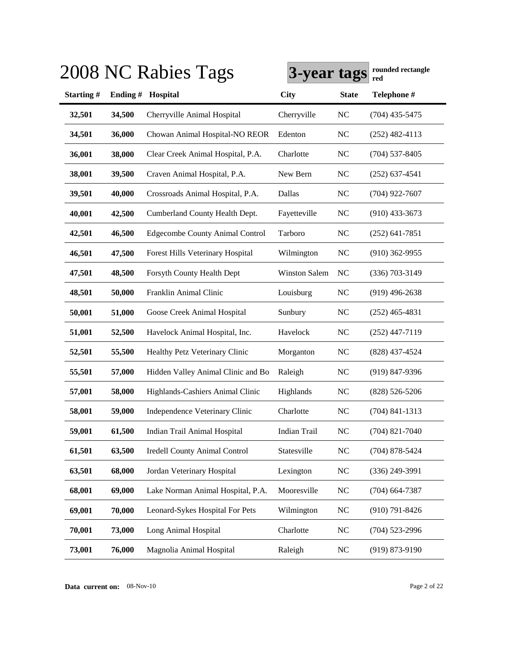|           |         | 2008 NC Rabies Tags                    | 3-year tags          |                | rounded rectangle<br>red |
|-----------|---------|----------------------------------------|----------------------|----------------|--------------------------|
| Starting# | Ending# | Hospital                               | <b>City</b>          | <b>State</b>   | Telephone #              |
| 32,501    | 34,500  | Cherryville Animal Hospital            | Cherryville          | NC             | $(704)$ 435-5475         |
| 34,501    | 36,000  | Chowan Animal Hospital-NO REOR         | Edenton              | NC             | $(252)$ 482-4113         |
| 36,001    | 38,000  | Clear Creek Animal Hospital, P.A.      | Charlotte            | NC             | $(704)$ 537-8405         |
| 38,001    | 39,500  | Craven Animal Hospital, P.A.           | New Bern             | NC             | $(252)$ 637-4541         |
| 39,501    | 40,000  | Crossroads Animal Hospital, P.A.       | Dallas               | <b>NC</b>      | $(704)$ 922-7607         |
| 40,001    | 42,500  | Cumberland County Health Dept.         | Fayetteville         | NC             | $(910)$ 433-3673         |
| 42,501    | 46,500  | <b>Edgecombe County Animal Control</b> | Tarboro              | NC             | $(252)$ 641-7851         |
| 46,501    | 47,500  | Forest Hills Veterinary Hospital       | Wilmington           | NC             | $(910)$ 362-9955         |
| 47,501    | 48,500  | Forsyth County Health Dept             | <b>Winston Salem</b> | NC             | $(336)$ 703-3149         |
| 48,501    | 50,000  | Franklin Animal Clinic                 | Louisburg            | NC             | $(919)$ 496-2638         |
| 50,001    | 51,000  | Goose Creek Animal Hospital            | Sunbury              | NC             | $(252)$ 465-4831         |
| 51,001    | 52,500  | Havelock Animal Hospital, Inc.         | Havelock             | NC             | $(252)$ 447-7119         |
| 52,501    | 55,500  | Healthy Petz Veterinary Clinic         | Morganton            | N <sub>C</sub> | (828) 437-4524           |
| 55,501    | 57,000  | Hidden Valley Animal Clinic and Bo     | Raleigh              | NC             | (919) 847-9396           |
| 57,001    | 58,000  | Highlands-Cashiers Animal Clinic       | Highlands            | $\rm NC$       | $(828) 526 - 5206$       |
| 58,001    | 59,000  | Independence Veterinary Clinic         | Charlotte            | NC             | $(704)$ 841-1313         |
| 59,001    | 61,500  | Indian Trail Animal Hospital           | <b>Indian Trail</b>  | NC             | $(704)$ 821-7040         |
| 61,501    | 63,500  | <b>Iredell County Animal Control</b>   | Statesville          | NC             | $(704)$ 878-5424         |
| 63,501    | 68,000  | Jordan Veterinary Hospital             | Lexington            | <b>NC</b>      | $(336)$ 249-3991         |
| 68,001    | 69,000  | Lake Norman Animal Hospital, P.A.      | Mooresville          | NC             | $(704)$ 664-7387         |
| 69,001    | 70,000  | Leonard-Sykes Hospital For Pets        | Wilmington           | NC             | $(910) 791 - 8426$       |
| 70,001    | 73,000  | Long Animal Hospital                   | Charlotte            | NC             | $(704)$ 523-2996         |
| 73,001    | 76,000  | Magnolia Animal Hospital               | Raleigh              | NC             | $(919) 873 - 9190$       |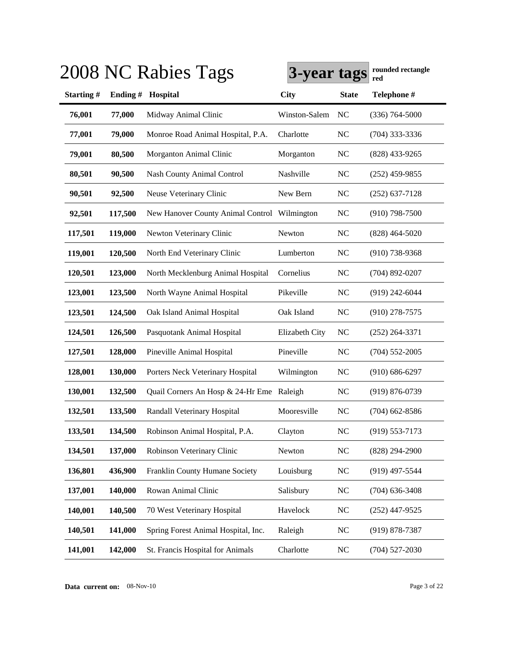|           |          | 2008 NC Rabies Tags                          | 3-year tags    |                | rounded rectangle<br>red |
|-----------|----------|----------------------------------------------|----------------|----------------|--------------------------|
| Starting# | Ending # | Hospital                                     | <b>City</b>    | <b>State</b>   | Telephone #              |
| 76,001    | 77,000   | Midway Animal Clinic                         | Winston-Salem  | NC             | $(336) 764 - 5000$       |
| 77,001    | 79,000   | Monroe Road Animal Hospital, P.A.            | Charlotte      | NC             | $(704)$ 333-3336         |
| 79,001    | 80,500   | Morganton Animal Clinic                      | Morganton      | NC             | $(828)$ 433-9265         |
| 80,501    | 90,500   | <b>Nash County Animal Control</b>            | Nashville      | NC             | $(252)$ 459-9855         |
| 90,501    | 92,500   | Neuse Veterinary Clinic                      | New Bern       | N <sub>C</sub> | $(252)$ 637-7128         |
| 92,501    | 117,500  | New Hanover County Animal Control Wilmington |                | N <sub>C</sub> | $(910)$ 798-7500         |
| 117,501   | 119,000  | Newton Veterinary Clinic                     | Newton         | NC             | $(828)$ 464-5020         |
| 119,001   | 120,500  | North End Veterinary Clinic                  | Lumberton      | N <sub>C</sub> | $(910)$ 738-9368         |
| 120,501   | 123,000  | North Mecklenburg Animal Hospital            | Cornelius      | NC             | $(704)$ 892-0207         |
| 123,001   | 123,500  | North Wayne Animal Hospital                  | Pikeville      | NC             | (919) 242-6044           |
| 123,501   | 124,500  | Oak Island Animal Hospital                   | Oak Island     | N <sub>C</sub> | $(910)$ 278-7575         |
| 124,501   | 126,500  | Pasquotank Animal Hospital                   | Elizabeth City | N <sub>C</sub> | $(252)$ 264-3371         |
| 127,501   | 128,000  | Pineville Animal Hospital                    | Pineville      | N <sub>C</sub> | $(704)$ 552-2005         |
| 128,001   | 130,000  | Porters Neck Veterinary Hospital             | Wilmington     | <b>NC</b>      | $(910) 686 - 6297$       |
| 130,001   | 132,500  | Quail Corners An Hosp & 24-Hr Eme            | Raleigh        | <b>NC</b>      | $(919) 876 - 0739$       |
| 132,501   | 133,500  | Randall Veterinary Hospital                  | Mooresville    | <b>NC</b>      | $(704)$ 662-8586         |
| 133,501   | 134,500  | Robinson Animal Hospital, P.A.               | Clayton        | N <sub>C</sub> | $(919) 553 - 7173$       |
| 134,501   | 137,000  | Robinson Veterinary Clinic                   | Newton         | NC             | $(828)$ 294-2900         |
| 136,801   | 436,900  | Franklin County Humane Society               | Louisburg      | N <sub>C</sub> | $(919)$ 497-5544         |
| 137,001   | 140,000  | Rowan Animal Clinic                          | Salisbury      | <b>NC</b>      | $(704)$ 636-3408         |
| 140,001   | 140,500  | 70 West Veterinary Hospital                  | Havelock       | <b>NC</b>      | $(252)$ 447-9525         |
| 140,501   | 141,000  | Spring Forest Animal Hospital, Inc.          | Raleigh        | <b>NC</b>      | $(919) 878 - 7387$       |
| 141,001   | 142,000  | St. Francis Hospital for Animals             | Charlotte      | <b>NC</b>      | $(704)$ 527-2030         |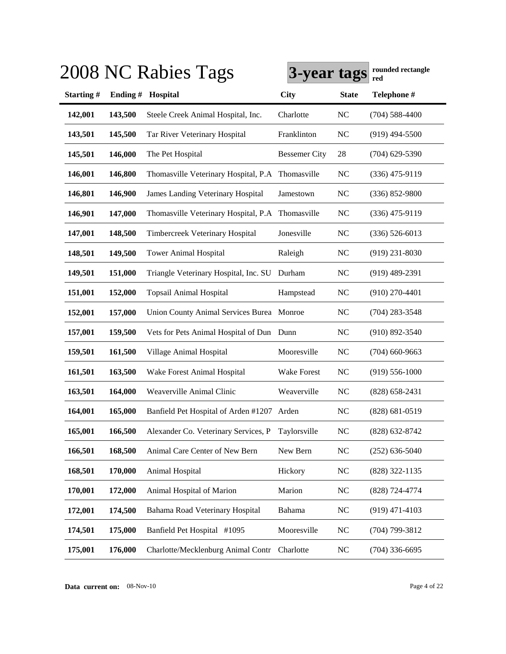|                  |         | 2008 NC Rabies Tags                               | 3-year tags          |              | rounded rectangle<br>red |
|------------------|---------|---------------------------------------------------|----------------------|--------------|--------------------------|
| <b>Starting#</b> | Ending# | Hospital                                          | <b>City</b>          | <b>State</b> | Telephone #              |
| 142,001          | 143,500 | Steele Creek Animal Hospital, Inc.                | Charlotte            | <b>NC</b>    | $(704)$ 588-4400         |
| 143,501          | 145,500 | Tar River Veterinary Hospital                     | Franklinton          | <b>NC</b>    | $(919)$ 494-5500         |
| 145,501          | 146,000 | The Pet Hospital                                  | <b>Bessemer City</b> | 28           | $(704)$ 629-5390         |
| 146,001          | 146,800 | Thomasville Veterinary Hospital, P.A Thomasville  |                      | <b>NC</b>    | $(336)$ 475-9119         |
| 146,801          | 146,900 | <b>James Landing Veterinary Hospital</b>          | Jamestown            | <b>NC</b>    | $(336) 852 - 9800$       |
| 146,901          | 147,000 | Thomasville Veterinary Hospital, P.A Thomasville  |                      | <b>NC</b>    | $(336)$ 475-9119         |
| 147,001          | 148,500 | <b>Timbercreek Veterinary Hospital</b>            | Jonesville           | <b>NC</b>    | $(336) 526 - 6013$       |
| 148,501          | 149,500 | <b>Tower Animal Hospital</b>                      | Raleigh              | <b>NC</b>    | $(919)$ 231-8030         |
| 149,501          | 151,000 | Triangle Veterinary Hospital, Inc. SU Durham      |                      | <b>NC</b>    | $(919)$ 489-2391         |
| 151,001          | 152,000 | <b>Topsail Animal Hospital</b>                    | Hampstead            | NC           | $(910)$ 270-4401         |
| 152,001          | 157,000 | Union County Animal Services Burea Monroe         |                      | <b>NC</b>    | $(704)$ 283-3548         |
| 157,001          | 159,500 | Vets for Pets Animal Hospital of Dun Dunn         |                      | <b>NC</b>    | $(910) 892 - 3540$       |
| 159,501          | 161,500 | Village Animal Hospital                           | Mooresville          | <b>NC</b>    | $(704)$ 660-9663         |
| 161,501          | 163,500 | Wake Forest Animal Hospital                       | <b>Wake Forest</b>   | <b>NC</b>    | $(919) 556 - 1000$       |
| 163,501          | 164,000 | Weaverville Animal Clinic                         | Weaverville          | <b>NC</b>    | $(828)$ 658-2431         |
| 164,001          | 165,000 | Banfield Pet Hospital of Arden #1207 Arden        |                      | NC           | (828) 681-0519           |
| 165,001          | 166,500 | Alexander Co. Veterinary Services, P Taylorsville |                      | <b>NC</b>    | $(828)$ 632-8742         |
| 166,501          | 168,500 | Animal Care Center of New Bern                    | New Bern             | NC           | $(252)$ 636-5040         |
| 168,501          | 170,000 | Animal Hospital                                   | Hickory              | <b>NC</b>    | $(828)$ 322-1135         |
| 170,001          | 172,000 | Animal Hospital of Marion                         | Marion               | <b>NC</b>    | (828) 724-4774           |
| 172,001          | 174,500 | Bahama Road Veterinary Hospital                   | Bahama               | <b>NC</b>    | $(919)$ 471-4103         |
| 174,501          | 175,000 | Banfield Pet Hospital #1095                       | Mooresville          | <b>NC</b>    | (704) 799-3812           |
| 175,001          | 176,000 | Charlotte/Mecklenburg Animal Contr                | Charlotte            | <b>NC</b>    | $(704)$ 336-6695         |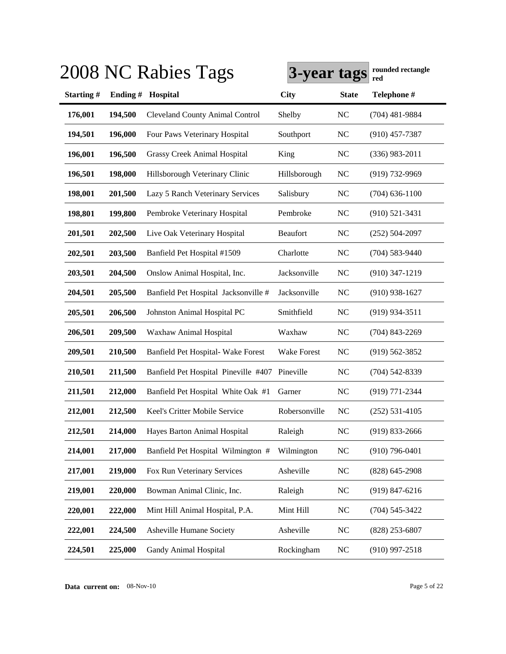|                  |         | 2008 NC Rabies Tags                    | 3-year tags        |              | rounded rectangle<br>red |
|------------------|---------|----------------------------------------|--------------------|--------------|--------------------------|
| <b>Starting#</b> | Ending# | Hospital                               | <b>City</b>        | <b>State</b> | Telephone #              |
| 176,001          | 194,500 | <b>Cleveland County Animal Control</b> | Shelby             | <b>NC</b>    | $(704)$ 481-9884         |
| 194,501          | 196,000 | Four Paws Veterinary Hospital          | Southport          | <b>NC</b>    | $(910)$ 457-7387         |
| 196,001          | 196,500 | <b>Grassy Creek Animal Hospital</b>    | King               | <b>NC</b>    | $(336)$ 983-2011         |
| 196,501          | 198,000 | Hillsborough Veterinary Clinic         | Hillsborough       | <b>NC</b>    | $(919) 732 - 9969$       |
| 198,001          | 201,500 | Lazy 5 Ranch Veterinary Services       | Salisbury          | <b>NC</b>    | $(704)$ 636-1100         |
| 198,801          | 199,800 | Pembroke Veterinary Hospital           | Pembroke           | <b>NC</b>    | $(910) 521 - 3431$       |
| 201,501          | 202,500 | Live Oak Veterinary Hospital           | <b>Beaufort</b>    | <b>NC</b>    | $(252) 504 - 2097$       |
| 202,501          | 203,500 | Banfield Pet Hospital #1509            | Charlotte          | <b>NC</b>    | $(704) 583 - 9440$       |
| 203,501          | 204,500 | Onslow Animal Hospital, Inc.           | Jacksonville       | <b>NC</b>    | $(910)$ 347-1219         |
| 204,501          | 205,500 | Banfield Pet Hospital Jacksonville #   | Jacksonville       | <b>NC</b>    | $(910)$ 938-1627         |
| 205,501          | 206,500 | Johnston Animal Hospital PC            | Smithfield         | <b>NC</b>    | $(919)$ 934-3511         |
| 206,501          | 209,500 | Waxhaw Animal Hospital                 | Waxhaw             | <b>NC</b>    | $(704)$ 843-2269         |
| 209,501          | 210,500 | Banfield Pet Hospital- Wake Forest     | <b>Wake Forest</b> | <b>NC</b>    | $(919) 562 - 3852$       |
| 210,501          | 211,500 | Banfield Pet Hospital Pineville #407   | Pineville          | <b>NC</b>    | $(704) 542 - 8339$       |
| 211,501          | 212,000 | Banfield Pet Hospital White Oak #1     | Garner             | <b>NC</b>    | (919) 771-2344           |
| 212,001          | 212,500 | Keel's Critter Mobile Service          | Robersonville      | <b>NC</b>    | $(252)$ 531-4105         |
| 212,501          | 214,000 | Hayes Barton Animal Hospital           | Raleigh            | <b>NC</b>    | $(919)$ 833-2666         |
| 214,001          | 217,000 | Banfield Pet Hospital Wilmington #     | Wilmington         | NC           | $(910)$ 796-0401         |
| 217,001          | 219,000 | Fox Run Veterinary Services            | Asheville          | NC           | $(828)$ 645-2908         |
| 219,001          | 220,000 | Bowman Animal Clinic, Inc.             | Raleigh            | <b>NC</b>    | $(919) 847 - 6216$       |
| 220,001          | 222,000 | Mint Hill Animal Hospital, P.A.        | Mint Hill          | <b>NC</b>    | $(704) 545 - 3422$       |
| 222,001          | 224,500 | Asheville Humane Society               | Asheville          | <b>NC</b>    | $(828)$ 253-6807         |
| 224,501          | 225,000 | Gandy Animal Hospital                  | Rockingham         | <b>NC</b>    | $(910)$ 997-2518         |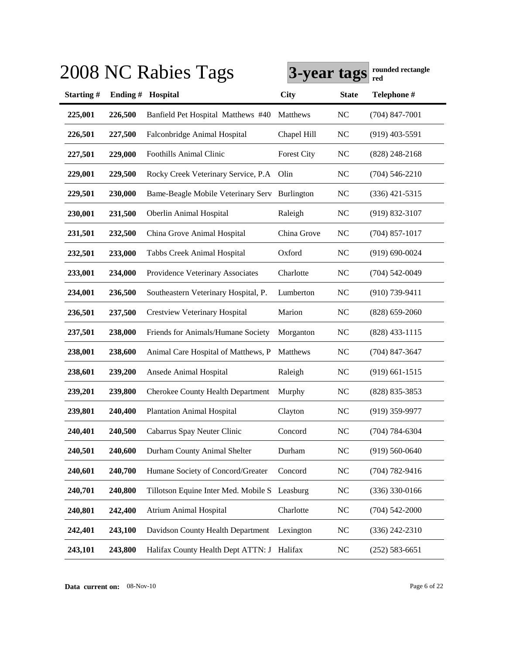|                  |         | 2008 NC Rabies Tags                           | 3-year tags        |                | rounded rectangle<br>red |
|------------------|---------|-----------------------------------------------|--------------------|----------------|--------------------------|
| <b>Starting#</b> | Ending# | Hospital                                      | <b>City</b>        | <b>State</b>   | Telephone #              |
| 225,001          | 226,500 | Banfield Pet Hospital Matthews #40            | Matthews           | <b>NC</b>      | $(704)$ 847-7001         |
| 226,501          | 227,500 | Falconbridge Animal Hospital                  | Chapel Hill        | <b>NC</b>      | $(919)$ 403-5591         |
| 227,501          | 229,000 | <b>Foothills Animal Clinic</b>                | <b>Forest City</b> | <b>NC</b>      | $(828)$ 248-2168         |
| 229,001          | 229,500 | Rocky Creek Veterinary Service, P.A           | Olin               | <b>NC</b>      | $(704) 546 - 2210$       |
| 229,501          | 230,000 | Bame-Beagle Mobile Veterinary Serv Burlington |                    | <b>NC</b>      | $(336)$ 421-5315         |
| 230,001          | 231,500 | Oberlin Animal Hospital                       | Raleigh            | <b>NC</b>      | $(919) 832 - 3107$       |
| 231,501          | 232,500 | China Grove Animal Hospital                   | China Grove        | <b>NC</b>      | $(704)$ 857-1017         |
| 232,501          | 233,000 | Tabbs Creek Animal Hospital                   | Oxford             | <b>NC</b>      | $(919) 690 - 0024$       |
| 233,001          | 234,000 | Providence Veterinary Associates              | Charlotte          | <b>NC</b>      | $(704) 542 - 0049$       |
| 234,001          | 236,500 | Southeastern Veterinary Hospital, P.          | Lumberton          | <b>NC</b>      | $(910)$ 739-9411         |
| 236,501          | 237,500 | <b>Crestview Veterinary Hospital</b>          | Marion             | <b>NC</b>      | $(828)$ 659-2060         |
| 237,501          | 238,000 | Friends for Animals/Humane Society            | Morganton          | <b>NC</b>      | $(828)$ 433-1115         |
| 238,001          | 238,600 | Animal Care Hospital of Matthews, P           | Matthews           | <b>NC</b>      | $(704)$ 847-3647         |
| 238,601          | 239,200 | Ansede Animal Hospital                        | Raleigh            | <b>NC</b>      | $(919)$ 661-1515         |
| 239,201          | 239,800 | <b>Cherokee County Health Department</b>      | Murphy             | <b>NC</b>      | (828) 835-3853           |
| 239,801          | 240,400 | <b>Plantation Animal Hospital</b>             | Clayton            | N <sub>C</sub> | $(919)$ 359-9977         |
| 240,401          | 240,500 | Cabarrus Spay Neuter Clinic                   | Concord            | <b>NC</b>      | $(704) 784 - 6304$       |
| 240,501          | 240,600 | Durham County Animal Shelter                  | Durham             | <b>NC</b>      | $(919) 560 - 0640$       |
| 240,601          | 240,700 | Humane Society of Concord/Greater             | Concord            | <b>NC</b>      | $(704) 782 - 9416$       |
| 240,701          | 240,800 | Tillotson Equine Inter Med. Mobile S          | Leasburg           | <b>NC</b>      | $(336)$ 330-0166         |
| 240,801          | 242,400 | <b>Atrium Animal Hospital</b>                 | Charlotte          | <b>NC</b>      | $(704) 542 - 2000$       |
| 242,401          | 243,100 | Davidson County Health Department             | Lexington          | <b>NC</b>      | $(336)$ 242-2310         |
| 243,101          | 243,800 | Halifax County Health Dept ATTN: J Halifax    |                    | <b>NC</b>      | $(252) 583 - 6651$       |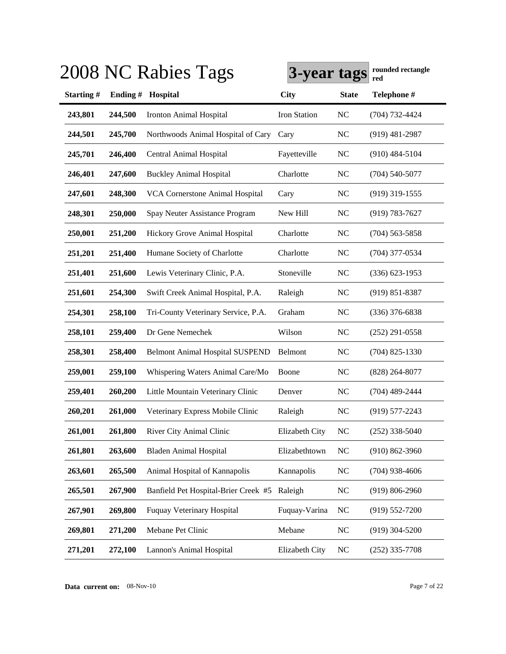|           |         | 2008 NC Rabies Tags                    | 3-year tags    |              | rounded rectangle<br>red |
|-----------|---------|----------------------------------------|----------------|--------------|--------------------------|
| Starting# | Ending# | Hospital                               | <b>City</b>    | <b>State</b> | Telephone #              |
| 243,801   | 244,500 | <b>Ironton Animal Hospital</b>         | Iron Station   | NC           | (704) 732-4424           |
| 244,501   | 245,700 | Northwoods Animal Hospital of Cary     | Cary           | <b>NC</b>    | $(919)$ 481-2987         |
| 245,701   | 246,400 | Central Animal Hospital                | Fayetteville   | <b>NC</b>    | $(910)$ 484-5104         |
| 246,401   | 247,600 | <b>Buckley Animal Hospital</b>         | Charlotte      | NC           | $(704)$ 540-5077         |
| 247,601   | 248,300 | <b>VCA Cornerstone Animal Hospital</b> | Cary           | <b>NC</b>    | $(919)$ 319-1555         |
| 248,301   | 250,000 | Spay Neuter Assistance Program         | New Hill       | <b>NC</b>    | $(919) 783 - 7627$       |
| 250,001   | 251,200 | Hickory Grove Animal Hospital          | Charlotte      | NC           | $(704)$ 563-5858         |
| 251,201   | 251,400 | Humane Society of Charlotte            | Charlotte      | <b>NC</b>    | $(704)$ 377-0534         |
| 251,401   | 251,600 | Lewis Veterinary Clinic, P.A.          | Stoneville     | <b>NC</b>    | $(336)$ 623-1953         |
| 251,601   | 254,300 | Swift Creek Animal Hospital, P.A.      | Raleigh        | NC           | $(919) 851 - 8387$       |
| 254,301   | 258,100 | Tri-County Veterinary Service, P.A.    | Graham         | <b>NC</b>    | $(336)$ 376-6838         |
| 258,101   | 259,400 | Dr Gene Nemechek                       | Wilson         | <b>NC</b>    | $(252)$ 291-0558         |
| 258,301   | 258,400 | <b>Belmont Animal Hospital SUSPEND</b> | Belmont        | NC           | $(704)$ 825-1330         |
| 259,001   | 259,100 | Whispering Waters Animal Care/Mo       | Boone          | NC           | $(828)$ 264-8077         |
| 259,401   | 260,200 | Little Mountain Veterinary Clinic      | Denver         | <b>NC</b>    | $(704)$ 489-2444         |
| 260,201   | 261,000 | Veterinary Express Mobile Clinic       | Raleigh        | <b>NC</b>    | $(919)$ 577-2243         |
| 261,001   | 261,800 | River City Animal Clinic               | Elizabeth City | NC           | $(252)$ 338-5040         |
| 261,801   | 263,600 | <b>Bladen Animal Hospital</b>          | Elizabethtown  | <b>NC</b>    | $(910) 862 - 3960$       |
| 263,601   | 265,500 | Animal Hospital of Kannapolis          | Kannapolis     | NC           | $(704)$ 938-4606         |
| 265,501   | 267,900 | Banfield Pet Hospital-Brier Creek #5   | Raleigh        | <b>NC</b>    | $(919) 806 - 2960$       |
| 267,901   | 269,800 | <b>Fuquay Veterinary Hospital</b>      | Fuquay-Varina  | <b>NC</b>    | $(919) 552 - 7200$       |
| 269,801   | 271,200 | Mebane Pet Clinic                      | Mebane         | <b>NC</b>    | $(919)$ 304-5200         |
| 271,201   | 272,100 | Lannon's Animal Hospital               | Elizabeth City | <b>NC</b>    | $(252)$ 335-7708         |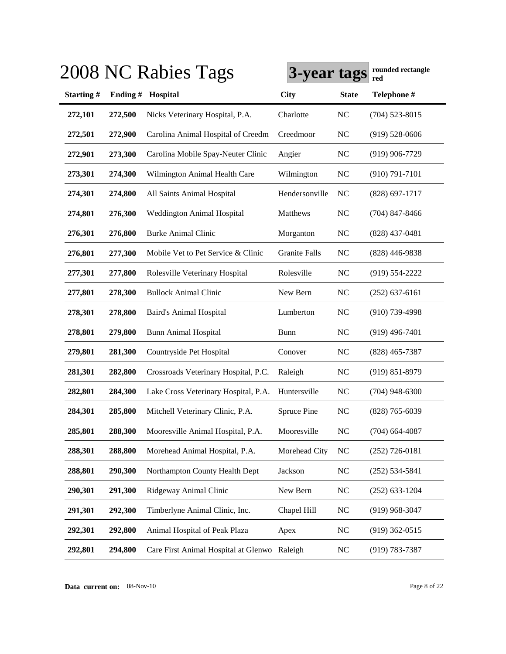|                  |         | 2008 NC Rabies Tags                          | 3-year tags          |                | rounded rectangle<br>red |
|------------------|---------|----------------------------------------------|----------------------|----------------|--------------------------|
| <b>Starting#</b> | Ending# | Hospital                                     | <b>City</b>          | <b>State</b>   | Telephone #              |
| 272,101          | 272,500 | Nicks Veterinary Hospital, P.A.              | Charlotte            | <b>NC</b>      | $(704)$ 523-8015         |
| 272,501          | 272,900 | Carolina Animal Hospital of Creedm           | Creedmoor            | <b>NC</b>      | $(919) 528 - 0606$       |
| 272,901          | 273,300 | Carolina Mobile Spay-Neuter Clinic           | Angier               | <b>NC</b>      | $(919)$ 906-7729         |
| 273,301          | 274,300 | Wilmington Animal Health Care                | Wilmington           | <b>NC</b>      | $(910) 791 - 7101$       |
| 274,301          | 274,800 | All Saints Animal Hospital                   | Hendersonville       | N <sub>C</sub> | $(828)$ 697-1717         |
| 274,801          | 276,300 | Weddington Animal Hospital                   | Matthews             | <b>NC</b>      | $(704)$ 847-8466         |
| 276,301          | 276,800 | <b>Burke Animal Clinic</b>                   | Morganton            | <b>NC</b>      | $(828)$ 437-0481         |
| 276,801          | 277,300 | Mobile Vet to Pet Service & Clinic           | <b>Granite Falls</b> | <b>NC</b>      | $(828)$ 446-9838         |
| 277,301          | 277,800 | Rolesville Veterinary Hospital               | Rolesville           | <b>NC</b>      | $(919) 554 - 2222$       |
| 277,801          | 278,300 | <b>Bullock Animal Clinic</b>                 | New Bern             | N <sub>C</sub> | $(252)$ 637-6161         |
| 278,301          | 278,800 | Baird's Animal Hospital                      | Lumberton            | N <sub>C</sub> | $(910)$ 739-4998         |
| 278,801          | 279,800 | <b>Bunn Animal Hospital</b>                  | <b>Bunn</b>          | N <sub>C</sub> | $(919)$ 496-7401         |
| 279,801          | 281,300 | Countryside Pet Hospital                     | Conover              | <b>NC</b>      | $(828)$ 465-7387         |
| 281,301          | 282,800 | Crossroads Veterinary Hospital, P.C.         | Raleigh              | <b>NC</b>      | $(919) 851 - 8979$       |
| 282,801          | 284,300 | Lake Cross Veterinary Hospital, P.A.         | Huntersville         | <b>NC</b>      | $(704)$ 948-6300         |
| 284,301          | 285,800 | Mitchell Veterinary Clinic, P.A.             | Spruce Pine          | <b>NC</b>      | $(828)$ 765-6039         |
| 285,801          | 288,300 | Mooresville Animal Hospital, P.A.            | Mooresville          | <b>NC</b>      | $(704)$ 664-4087         |
| 288,301          | 288,800 | Morehead Animal Hospital, P.A.               | Morehead City        | <b>NC</b>      | $(252)$ 726-0181         |
| 288,801          | 290,300 | Northampton County Health Dept               | Jackson              | NC             | $(252) 534 - 5841$       |
| 290,301          | 291,300 | Ridgeway Animal Clinic                       | New Bern             | <b>NC</b>      | $(252)$ 633-1204         |
| 291,301          | 292,300 | Timberlyne Animal Clinic, Inc.               | Chapel Hill          | <b>NC</b>      | $(919)$ 968-3047         |
| 292,301          | 292,800 | Animal Hospital of Peak Plaza                | Apex                 | <b>NC</b>      | $(919)$ 362-0515         |
| 292,801          | 294,800 | Care First Animal Hospital at Glenwo Raleigh |                      | <b>NC</b>      | $(919) 783 - 7387$       |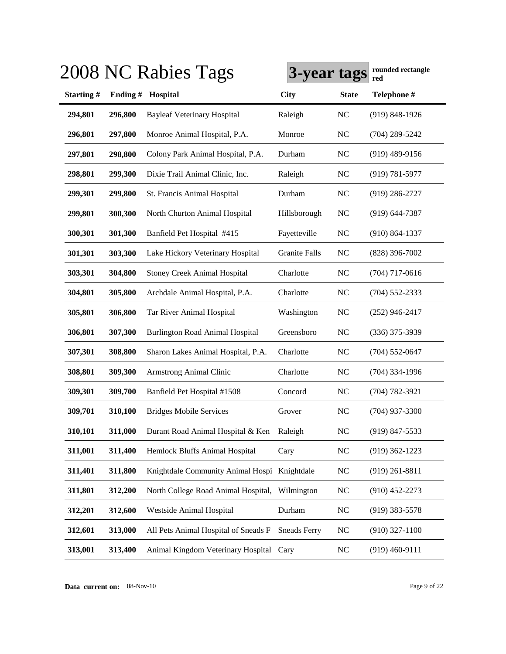|                  |         | 2008 NC Rabies Tags                          | 3-year tags          |                | rounded rectangle<br>red |
|------------------|---------|----------------------------------------------|----------------------|----------------|--------------------------|
| <b>Starting#</b> | Ending# | Hospital                                     | <b>City</b>          | <b>State</b>   | Telephone #              |
| 294,801          | 296,800 | <b>Bayleaf Veterinary Hospital</b>           | Raleigh              | <b>NC</b>      | $(919) 848 - 1926$       |
| 296,801          | 297,800 | Monroe Animal Hospital, P.A.                 | Monroe               | <b>NC</b>      | $(704)$ 289-5242         |
| 297,801          | 298,800 | Colony Park Animal Hospital, P.A.            | Durham               | <b>NC</b>      | $(919)$ 489-9156         |
| 298,801          | 299,300 | Dixie Trail Animal Clinic, Inc.              | Raleigh              | <b>NC</b>      | $(919) 781 - 5977$       |
| 299,301          | 299,800 | St. Francis Animal Hospital                  | Durham               | <b>NC</b>      | $(919)$ 286-2727         |
| 299,801          | 300,300 | North Churton Animal Hospital                | Hillsborough         | <b>NC</b>      | $(919) 644 - 7387$       |
| 300,301          | 301,300 | Banfield Pet Hospital #415                   | Fayetteville         | <b>NC</b>      | $(910) 864 - 1337$       |
| 301,301          | 303,300 | Lake Hickory Veterinary Hospital             | <b>Granite Falls</b> | <b>NC</b>      | $(828)$ 396-7002         |
| 303,301          | 304,800 | <b>Stoney Creek Animal Hospital</b>          | Charlotte            | <b>NC</b>      | $(704)$ 717-0616         |
| 304,801          | 305,800 | Archdale Animal Hospital, P.A.               | Charlotte            | <b>NC</b>      | $(704)$ 552-2333         |
| 305,801          | 306,800 | Tar River Animal Hospital                    | Washington           | <b>NC</b>      | $(252)$ 946-2417         |
| 306,801          | 307,300 | <b>Burlington Road Animal Hospital</b>       | Greensboro           | <b>NC</b>      | $(336)$ 375-3939         |
| 307,301          | 308,800 | Sharon Lakes Animal Hospital, P.A.           | Charlotte            | <b>NC</b>      | $(704)$ 552-0647         |
| 308,801          | 309,300 | <b>Armstrong Animal Clinic</b>               | Charlotte            | <b>NC</b>      | $(704)$ 334-1996         |
| 309,301          | 309,700 | Banfield Pet Hospital #1508                  | Concord              | <b>NC</b>      | $(704) 782 - 3921$       |
| 309,701          | 310,100 | <b>Bridges Mobile Services</b>               | Grover               | N <sub>C</sub> | $(704)$ 937-3300         |
| 310,101          | 311,000 | Durant Road Animal Hospital & Ken            | Raleigh              | <b>NC</b>      | $(919)$ 847-5533         |
| 311,001          | 311,400 | Hemlock Bluffs Animal Hospital               | Cary                 | NC             | $(919)$ 362-1223         |
| 311,401          | 311,800 | Knightdale Community Animal Hospi Knightdale |                      | <b>NC</b>      | $(919)$ 261-8811         |
| 311,801          | 312,200 | North College Road Animal Hospital,          | Wilmington           | NC             | $(910)$ 452-2273         |
| 312,201          | 312,600 | Westside Animal Hospital                     | Durham               | NC             | $(919)$ 383-5578         |
| 312,601          | 313,000 | All Pets Animal Hospital of Sneads F         | <b>Sneads Ferry</b>  | <b>NC</b>      | $(910)$ 327-1100         |
| 313,001          | 313,400 | Animal Kingdom Veterinary Hospital           | Cary                 | <b>NC</b>      | $(919)$ 460-9111         |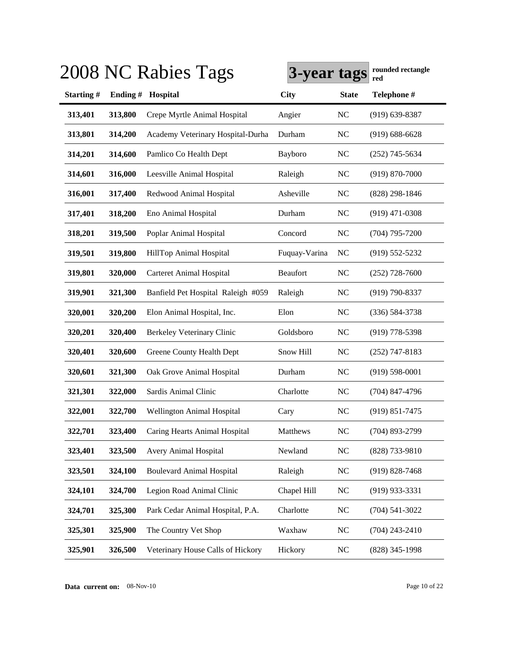|           |         | 2008 NC Rabies Tags                | 3-year tags     |                | rounded rectangle<br>red |
|-----------|---------|------------------------------------|-----------------|----------------|--------------------------|
| Starting# | Ending# | Hospital                           | <b>City</b>     | <b>State</b>   | Telephone #              |
| 313,401   | 313,800 | Crepe Myrtle Animal Hospital       | Angier          | <b>NC</b>      | $(919)$ 639-8387         |
| 313,801   | 314,200 | Academy Veterinary Hospital-Durha  | Durham          | <b>NC</b>      | $(919)$ 688-6628         |
| 314,201   | 314,600 | Pamlico Co Health Dept             | Bayboro         | <b>NC</b>      | $(252)$ 745-5634         |
| 314,601   | 316,000 | Leesville Animal Hospital          | Raleigh         | <b>NC</b>      | $(919) 870 - 7000$       |
| 316,001   | 317,400 | Redwood Animal Hospital            | Asheville       | <b>NC</b>      | (828) 298-1846           |
| 317,401   | 318,200 | Eno Animal Hospital                | Durham          | <b>NC</b>      | $(919)$ 471-0308         |
| 318,201   | 319,500 | Poplar Animal Hospital             | Concord         | <b>NC</b>      | $(704)$ 795-7200         |
| 319,501   | 319,800 | HillTop Animal Hospital            | Fuquay-Varina   | <b>NC</b>      | $(919) 552 - 5232$       |
| 319,801   | 320,000 | <b>Carteret Animal Hospital</b>    | <b>Beaufort</b> | <b>NC</b>      | $(252)$ 728-7600         |
| 319,901   | 321,300 | Banfield Pet Hospital Raleigh #059 | Raleigh         | <b>NC</b>      | $(919)$ 790-8337         |
| 320,001   | 320,200 | Elon Animal Hospital, Inc.         | Elon            | <b>NC</b>      | (336) 584-3738           |
| 320,201   | 320,400 | Berkeley Veterinary Clinic         | Goldsboro       | <b>NC</b>      | $(919)$ 778-5398         |
| 320,401   | 320,600 | Greene County Health Dept          | Snow Hill       | <b>NC</b>      | $(252)$ 747-8183         |
| 320,601   | 321,300 | Oak Grove Animal Hospital          | Durham          | <b>NC</b>      | $(919) 598 - 0001$       |
| 321,301   | 322,000 | Sardis Animal Clinic               | Charlotte       | <b>NC</b>      | $(704)$ 847-4796         |
| 322,001   | 322,700 | Wellington Animal Hospital         | Cary            | N <sub>C</sub> | $(919) 851 - 7475$       |
| 322,701   | 323,400 | Caring Hearts Animal Hospital      | Matthews        | <b>NC</b>      | (704) 893-2799           |
| 323,401   | 323,500 | Avery Animal Hospital              | Newland         | NC             | (828) 733-9810           |
| 323,501   | 324,100 | <b>Boulevard Animal Hospital</b>   | Raleigh         | NC             | $(919) 828 - 7468$       |
| 324,101   | 324,700 | Legion Road Animal Clinic          | Chapel Hill     | NC             | $(919)$ 933-3331         |
| 324,701   | 325,300 | Park Cedar Animal Hospital, P.A.   | Charlotte       | <b>NC</b>      | $(704) 541 - 3022$       |
| 325,301   | 325,900 | The Country Vet Shop               | Waxhaw          | <b>NC</b>      | $(704)$ 243-2410         |
| 325,901   | 326,500 | Veterinary House Calls of Hickory  | Hickory         | $\rm NC$       | (828) 345-1998           |

**Data current on:** 08-Nov-10 Page 10 of 22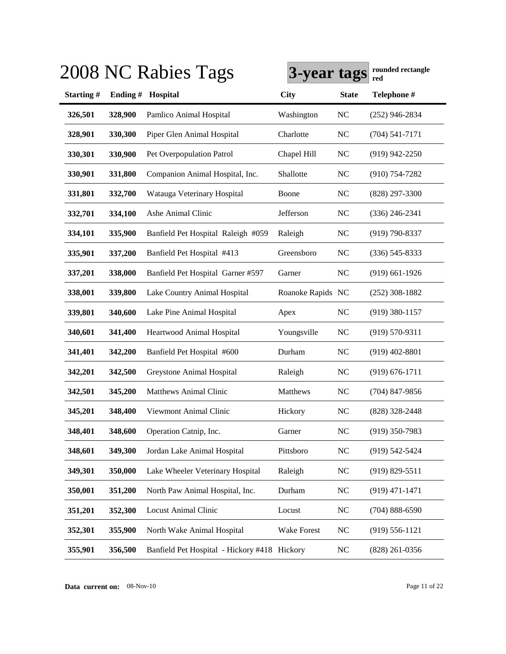|                  |         | 2008 NC Rabies Tags                          | 3-year tags        |                | rounded rectangle<br>red |
|------------------|---------|----------------------------------------------|--------------------|----------------|--------------------------|
| <b>Starting#</b> | Ending# | Hospital                                     | <b>City</b>        | <b>State</b>   | Telephone #              |
| 326,501          | 328,900 | Pamlico Animal Hospital                      | Washington         | <b>NC</b>      | $(252)$ 946-2834         |
| 328,901          | 330,300 | Piper Glen Animal Hospital                   | Charlotte          | <b>NC</b>      | $(704) 541 - 7171$       |
| 330,301          | 330,900 | Pet Overpopulation Patrol                    | Chapel Hill        | <b>NC</b>      | $(919)$ 942-2250         |
| 330,901          | 331,800 | Companion Animal Hospital, Inc.              | Shallotte          | <b>NC</b>      | $(910)$ 754-7282         |
| 331,801          | 332,700 | Watauga Veterinary Hospital                  | Boone              | <b>NC</b>      | (828) 297-3300           |
| 332,701          | 334,100 | Ashe Animal Clinic                           | Jefferson          | <b>NC</b>      | $(336)$ 246-2341         |
| 334,101          | 335,900 | Banfield Pet Hospital Raleigh #059           | Raleigh            | <b>NC</b>      | $(919) 790 - 8337$       |
| 335,901          | 337,200 | Banfield Pet Hospital #413                   | Greensboro         | N <sub>C</sub> | $(336) 545 - 8333$       |
| 337,201          | 338,000 | Banfield Pet Hospital Garner #597            | Garner             | N <sub>C</sub> | $(919)$ 661-1926         |
| 338,001          | 339,800 | Lake Country Animal Hospital                 | Roanoke Rapids NC  |                | $(252)$ 308-1882         |
| 339,801          | 340,600 | Lake Pine Animal Hospital                    | Apex               | N <sub>C</sub> | $(919)$ 380-1157         |
| 340,601          | 341,400 | Heartwood Animal Hospital                    | Youngsville        | <b>NC</b>      | $(919) 570 - 9311$       |
| 341,401          | 342,200 | Banfield Pet Hospital #600                   | Durham             | <b>NC</b>      | $(919)$ 402-8801         |
| 342,201          | 342,500 | Greystone Animal Hospital                    | Raleigh            | <b>NC</b>      | $(919) 676 - 1711$       |
| 342,501          | 345,200 | <b>Matthews Animal Clinic</b>                | Matthews           | <b>NC</b>      | $(704)$ 847-9856         |
| 345,201          | 348,400 | Viewmont Animal Clinic                       | Hickory            | N <sub>C</sub> | (828) 328-2448           |
| 348,401          | 348,600 | Operation Catnip, Inc.                       | Garner             | <b>NC</b>      | (919) 350-7983           |
| 348,601          | 349,300 | Jordan Lake Animal Hospital                  | Pittsboro          | NC             | (919) 542-5424           |
| 349,301          | 350,000 | Lake Wheeler Veterinary Hospital             | Raleigh            | <b>NC</b>      | $(919) 829 - 5511$       |
| 350,001          | 351,200 | North Paw Animal Hospital, Inc.              | Durham             | <b>NC</b>      | $(919)$ 471-1471         |
| 351,201          | 352,300 | Locust Animal Clinic                         | Locust             | <b>NC</b>      | $(704) 888 - 6590$       |
| 352,301          | 355,900 | North Wake Animal Hospital                   | <b>Wake Forest</b> | <b>NC</b>      | $(919) 556 - 1121$       |
| 355,901          | 356,500 | Banfield Pet Hospital - Hickory #418 Hickory |                    | <b>NC</b>      | $(828)$ 261-0356         |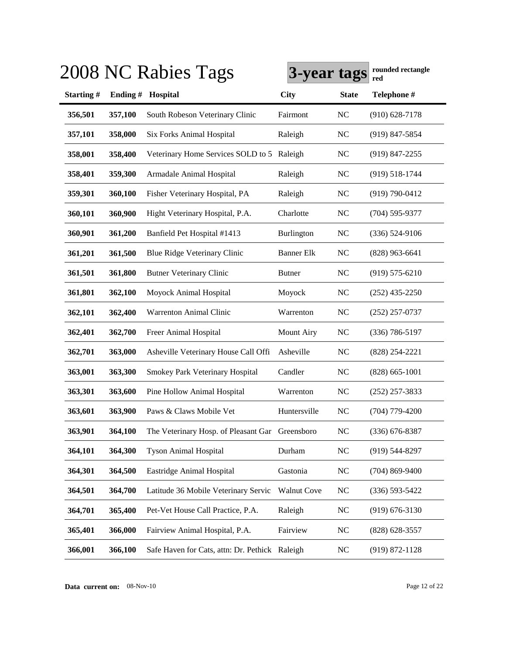|           |         | 2008 NC Rabies Tags                             | 3-year tags        |                | rounded rectangle<br>red |
|-----------|---------|-------------------------------------------------|--------------------|----------------|--------------------------|
| Starting# | Ending# | Hospital                                        | <b>City</b>        | <b>State</b>   | Telephone #              |
| 356,501   | 357,100 | South Robeson Veterinary Clinic                 | Fairmont           | N <sub>C</sub> | $(910)$ 628-7178         |
| 357,101   | 358,000 | Six Forks Animal Hospital                       | Raleigh            | <b>NC</b>      | $(919)$ 847-5854         |
| 358,001   | 358,400 | Veterinary Home Services SOLD to 5 Raleigh      |                    | <b>NC</b>      | $(919)$ 847-2255         |
| 358,401   | 359,300 | Armadale Animal Hospital                        | Raleigh            | <b>NC</b>      | $(919) 518 - 1744$       |
| 359,301   | 360,100 | Fisher Veterinary Hospital, PA                  | Raleigh            | <b>NC</b>      | $(919) 790 - 0412$       |
| 360,101   | 360,900 | Hight Veterinary Hospital, P.A.                 | Charlotte          | <b>NC</b>      | $(704) 595 - 9377$       |
| 360,901   | 361,200 | Banfield Pet Hospital #1413                     | Burlington         | NC             | $(336) 524-9106$         |
| 361,201   | 361,500 | <b>Blue Ridge Veterinary Clinic</b>             | <b>Banner Elk</b>  | <b>NC</b>      | $(828)$ 963-6641         |
| 361,501   | 361,800 | <b>Butner Veterinary Clinic</b>                 | <b>Butner</b>      | N <sub>C</sub> | $(919) 575 - 6210$       |
| 361,801   | 362,100 | Moyock Animal Hospital                          | Moyock             | <b>NC</b>      | $(252)$ 435-2250         |
| 362,101   | 362,400 | Warrenton Animal Clinic                         | Warrenton          | <b>NC</b>      | $(252)$ 257-0737         |
| 362,401   | 362,700 | Freer Animal Hospital                           | <b>Mount Airy</b>  | <b>NC</b>      | $(336) 786 - 5197$       |
| 362,701   | 363,000 | Asheville Veterinary House Call Offi            | Asheville          | <b>NC</b>      | (828) 254-2221           |
| 363,001   | 363,300 | Smokey Park Veterinary Hospital                 | Candler            | NC             | $(828) 665 - 1001$       |
| 363,301   | 363,600 | Pine Hollow Animal Hospital                     | Warrenton          | <b>NC</b>      | $(252)$ 257-3833         |
| 363,601   | 363,900 | Paws & Claws Mobile Vet                         | Huntersville       | NC             | $(704)$ 779-4200         |
| 363,901   | 364,100 | The Veterinary Hosp. of Pleasant Gar Greensboro |                    | <b>NC</b>      | $(336)$ 676-8387         |
| 364,101   | 364,300 | <b>Tyson Animal Hospital</b>                    | Durham             | NC             | $(919)$ 544-8297         |
| 364,301   | 364,500 | Eastridge Animal Hospital                       | Gastonia           | NC             | $(704)$ 869-9400         |
| 364,501   | 364,700 | Latitude 36 Mobile Veterinary Servic            | <b>Walnut Cove</b> | $NC$           | $(336) 593 - 5422$       |
| 364,701   | 365,400 | Pet-Vet House Call Practice, P.A.               | Raleigh            | <b>NC</b>      | $(919) 676 - 3130$       |
| 365,401   | 366,000 | Fairview Animal Hospital, P.A.                  | Fairview           | NC             | $(828) 628 - 3557$       |
| 366,001   | 366,100 | Safe Haven for Cats, attn: Dr. Pethick Raleigh  |                    | NC             | $(919) 872 - 1128$       |

**Data current on:** 08-Nov-10 Page 12 of 22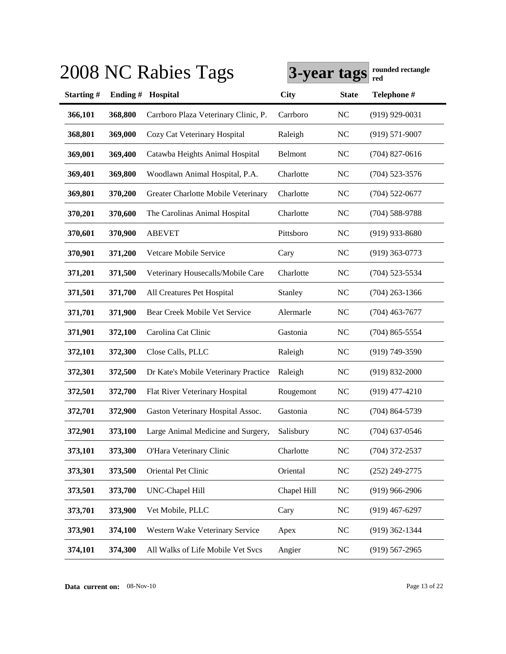|           |         | 2008 NC Rabies Tags                  | 3-year tags |              | rounded rectangle<br>red |
|-----------|---------|--------------------------------------|-------------|--------------|--------------------------|
| Starting# | Ending# | Hospital                             | <b>City</b> | <b>State</b> | Telephone #              |
| 366,101   | 368,800 | Carrboro Plaza Veterinary Clinic, P. | Carrboro    | <b>NC</b>    | $(919)$ 929-0031         |
| 368,801   | 369,000 | Cozy Cat Veterinary Hospital         | Raleigh     | NC           | $(919) 571 - 9007$       |
| 369,001   | 369,400 | Catawba Heights Animal Hospital      | Belmont     | NC           | $(704)$ 827-0616         |
| 369,401   | 369,800 | Woodlawn Animal Hospital, P.A.       | Charlotte   | NC           | $(704)$ 523-3576         |
| 369,801   | 370,200 | Greater Charlotte Mobile Veterinary  | Charlotte   | NC           | $(704)$ 522-0677         |
| 370,201   | 370,600 | The Carolinas Animal Hospital        | Charlotte   | NC           | $(704)$ 588-9788         |
| 370,601   | 370,900 | <b>ABEVET</b>                        | Pittsboro   | NC           | $(919)$ 933-8680         |
| 370,901   | 371,200 | Vetcare Mobile Service               | Cary        | NC           | $(919)$ 363-0773         |
| 371,201   | 371,500 | Veterinary Housecalls/Mobile Care    | Charlotte   | NC           | $(704)$ 523-5534         |
| 371,501   | 371,700 | All Creatures Pet Hospital           | Stanley     | NC           | $(704)$ 263-1366         |
| 371,701   | 371,900 | Bear Creek Mobile Vet Service        | Alermarle   | NC           | $(704)$ 463-7677         |
| 371,901   | 372,100 | Carolina Cat Clinic                  | Gastonia    | NC           | $(704)$ 865-5554         |
| 372,101   | 372,300 | Close Calls, PLLC                    | Raleigh     | NC           | $(919) 749 - 3590$       |
| 372,301   | 372,500 | Dr Kate's Mobile Veterinary Practice | Raleigh     | NC           | $(919) 832 - 2000$       |
| 372,501   | 372,700 | Flat River Veterinary Hospital       | Rougemont   | NC           | $(919)$ 477-4210         |
| 372,701   | 372,900 | Gaston Veterinary Hospital Assoc.    | Gastonia    | NC           | $(704)$ 864-5739         |
| 372,901   | 373,100 | Large Animal Medicine and Surgery,   | Salisbury   | NC           | $(704)$ 637-0546         |
| 373,101   | 373,300 | O'Hara Veterinary Clinic             | Charlotte   | NC           | $(704)$ 372-2537         |
| 373,301   | 373,500 | Oriental Pet Clinic                  | Oriental    | NC           | $(252)$ 249-2775         |
| 373,501   | 373,700 | <b>UNC-Chapel Hill</b>               | Chapel Hill | NC           | $(919)$ 966-2906         |
| 373,701   | 373,900 | Vet Mobile, PLLC                     | Cary        | NC           | $(919)$ 467-6297         |
| 373,901   | 374,100 | Western Wake Veterinary Service      | Apex        | NC           | $(919)$ 362-1344         |
| 374,101   | 374,300 | All Walks of Life Mobile Vet Svcs    | Angier      | NC           | $(919)$ 567-2965         |
|           |         |                                      |             |              |                          |

**Data current on:** 08-Nov-10 Page 13 of 22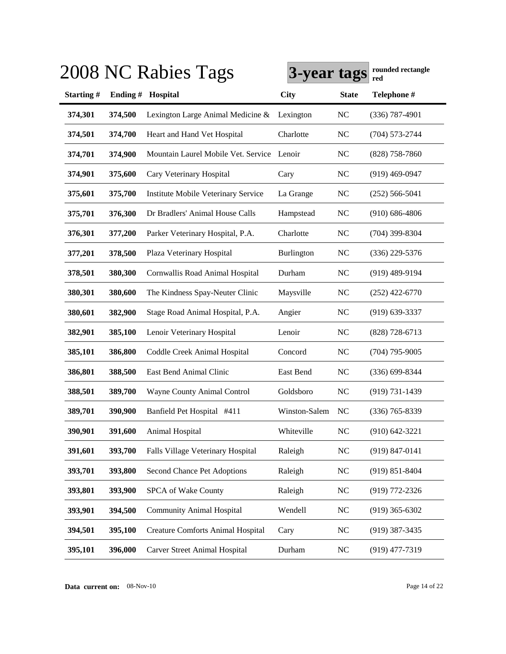|                  |         | 2008 NC Rabies Tags                        | 3-year tags       |                | rounded rectangle<br>red |
|------------------|---------|--------------------------------------------|-------------------|----------------|--------------------------|
| <b>Starting#</b> | Ending# | Hospital                                   | <b>City</b>       | <b>State</b>   | Telephone #              |
| 374,301          | 374,500 | Lexington Large Animal Medicine &          | Lexington         | <b>NC</b>      | $(336)$ 787-4901         |
| 374,501          | 374,700 | Heart and Hand Vet Hospital                | Charlotte         | <b>NC</b>      | $(704) 573 - 2744$       |
| 374,701          | 374,900 | Mountain Laurel Mobile Vet. Service Lenoir |                   | <b>NC</b>      | $(828)$ 758-7860         |
| 374,901          | 375,600 | Cary Veterinary Hospital                   | Cary              | <b>NC</b>      | $(919)$ 469-0947         |
| 375,601          | 375,700 | Institute Mobile Veterinary Service        | La Grange         | <b>NC</b>      | $(252) 566 - 5041$       |
| 375,701          | 376,300 | Dr Bradlers' Animal House Calls            | Hampstead         | NC             | $(910) 686 - 4806$       |
| 376,301          | 377,200 | Parker Veterinary Hospital, P.A.           | Charlotte         | <b>NC</b>      | $(704)$ 399-8304         |
| 377,201          | 378,500 | Plaza Veterinary Hospital                  | <b>Burlington</b> | <b>NC</b>      | (336) 229-5376           |
| 378,501          | 380,300 | Cornwallis Road Animal Hospital            | Durham            | <b>NC</b>      | $(919)$ 489-9194         |
| 380,301          | 380,600 | The Kindness Spay-Neuter Clinic            | Maysville         | NC             | $(252)$ 422-6770         |
| 380,601          | 382,900 | Stage Road Animal Hospital, P.A.           | Angier            | NC             | $(919)$ 639-3337         |
| 382,901          | 385,100 | Lenoir Veterinary Hospital                 | Lenoir            | N <sub>C</sub> | $(828)$ 728-6713         |
| 385,101          | 386,800 | Coddle Creek Animal Hospital               | Concord           | <b>NC</b>      | $(704)$ 795-9005         |
| 386,801          | 388,500 | East Bend Animal Clinic                    | East Bend         | <b>NC</b>      | $(336) 699 - 8344$       |
| 388,501          | 389,700 | Wayne County Animal Control                | Goldsboro         | NC             | $(919) 731 - 1439$       |
| 389,701          | 390,900 | Banfield Pet Hospital #411                 | Winston-Salem     | N <sub>C</sub> | $(336)$ 765-8339         |
| 390,901          | 391,600 | Animal Hospital                            | Whiteville        | <b>NC</b>      | $(910)$ 642-3221         |
| 391,601          | 393,700 | Falls Village Veterinary Hospital          | Raleigh           | <b>NC</b>      | $(919) 847 - 0141$       |
| 393,701          | 393,800 | Second Chance Pet Adoptions                | Raleigh           | <b>NC</b>      | $(919) 851 - 8404$       |
| 393,801          | 393,900 | SPCA of Wake County                        | Raleigh           | <b>NC</b>      | (919) 772-2326           |
| 393,901          | 394,500 | <b>Community Animal Hospital</b>           | Wendell           | <b>NC</b>      | $(919)$ 365-6302         |
| 394,501          | 395,100 | <b>Creature Comforts Animal Hospital</b>   | Cary              | <b>NC</b>      | $(919)$ 387-3435         |
| 395,101          | 396,000 | Carver Street Animal Hospital              | Durham            | <b>NC</b>      | $(919)$ 477-7319         |

**Data current on:** 08-Nov-10 Page 14 of 22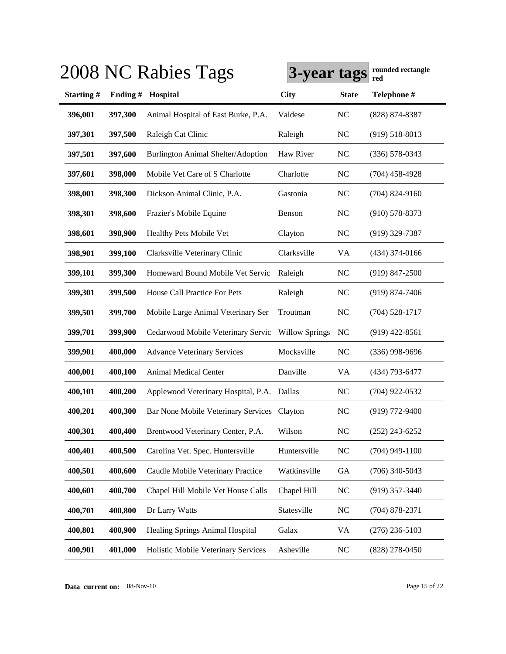|           |         | 2008 NC Rabies Tags                    | 3-year tags           |                | rounded rectangle<br>red |
|-----------|---------|----------------------------------------|-----------------------|----------------|--------------------------|
| Starting# |         | Ending # Hospital                      | <b>City</b>           | <b>State</b>   | Telephone #              |
| 396,001   | 397,300 | Animal Hospital of East Burke, P.A.    | Valdese               | <b>NC</b>      | (828) 874-8387           |
| 397,301   | 397,500 | Raleigh Cat Clinic                     | Raleigh               | N <sub>C</sub> | $(919) 518 - 8013$       |
| 397,501   | 397,600 | Burlington Animal Shelter/Adoption     | Haw River             | <b>NC</b>      | $(336) 578 - 0343$       |
| 397,601   | 398,000 | Mobile Vet Care of S Charlotte         | Charlotte             | <b>NC</b>      | $(704)$ 458-4928         |
| 398,001   | 398,300 | Dickson Animal Clinic, P.A.            | Gastonia              | <b>NC</b>      | $(704)$ 824-9160         |
| 398,301   | 398,600 | Frazier's Mobile Equine                | Benson                | N <sub>C</sub> | $(910)$ 578-8373         |
| 398,601   | 398,900 | Healthy Pets Mobile Vet                | Clayton               | <b>NC</b>      | (919) 329-7387           |
| 398,901   | 399,100 | Clarksville Veterinary Clinic          | Clarksville           | VA             | $(434)$ 374-0166         |
| 399,101   | 399,300 | Homeward Bound Mobile Vet Servic       | Raleigh               | NC             | $(919)$ 847-2500         |
| 399,301   | 399,500 | House Call Practice For Pets           | Raleigh               | <b>NC</b>      | $(919) 874 - 7406$       |
| 399,501   | 399,700 | Mobile Large Animal Veterinary Ser     | Troutman              | NC             | $(704)$ 528-1717         |
| 399,701   | 399,900 | Cedarwood Mobile Veterinary Servic     | <b>Willow Springs</b> | NC             | $(919)$ 422-8561         |
| 399,901   | 400,000 | <b>Advance Veterinary Services</b>     | Mocksville            | <b>NC</b>      | $(336)$ 998-9696         |
| 400,001   | 400,100 | <b>Animal Medical Center</b>           | Danville              | VA             | (434) 793-6477           |
| 400,101   | 400,200 | Applewood Veterinary Hospital, P.A.    | Dallas                | N <sub>C</sub> | $(704)$ 922-0532         |
| 400,201   | 400,300 | Bar None Mobile Veterinary Services    | Clayton               | <b>NC</b>      | $(919)$ 772-9400         |
| 400,301   | 400,400 | Brentwood Veterinary Center, P.A.      | Wilson                | N <sub>C</sub> | $(252)$ 243-6252         |
| 400,401   | 400,500 | Carolina Vet. Spec. Huntersville       | Huntersville          | $\rm NC$       | $(704)$ 949-1100         |
| 400,501   | 400,600 | Caudle Mobile Veterinary Practice      | Watkinsville          | <b>GA</b>      | $(706)$ 340-5043         |
| 400,601   | 400,700 | Chapel Hill Mobile Vet House Calls     | Chapel Hill           | <b>NC</b>      | $(919)$ 357-3440         |
| 400,701   | 400,800 | Dr Larry Watts                         | Statesville           | <b>NC</b>      | $(704)$ 878-2371         |
| 400,801   | 400,900 | <b>Healing Springs Animal Hospital</b> | Galax                 | VA             | $(276)$ 236-5103         |
| 400,901   | 401,000 | Holistic Mobile Veterinary Services    | Asheville             | $\rm NC$       | $(828)$ 278-0450         |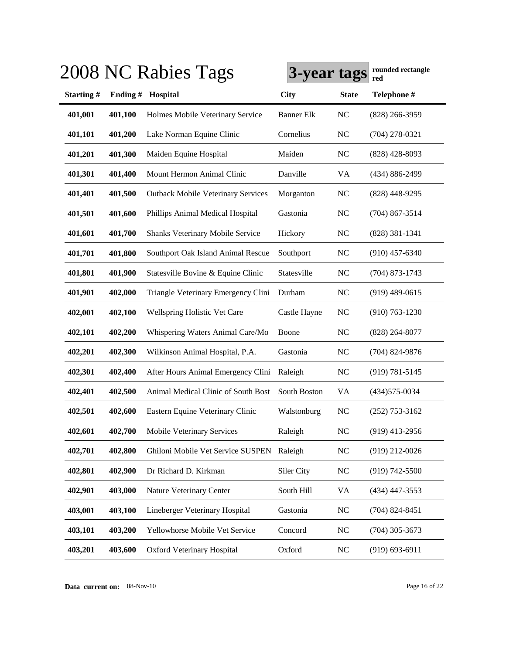|           |         | 2008 NC Rabies Tags                       | 3-year tags       |                | rounded rectangle<br>red |
|-----------|---------|-------------------------------------------|-------------------|----------------|--------------------------|
| Starting# | Ending# | Hospital                                  | <b>City</b>       | <b>State</b>   | Telephone #              |
| 401,001   | 401,100 | Holmes Mobile Veterinary Service          | <b>Banner Elk</b> | N <sub>C</sub> | $(828)$ 266-3959         |
| 401,101   | 401,200 | Lake Norman Equine Clinic                 | Cornelius         | N <sub>C</sub> | $(704)$ 278-0321         |
| 401,201   | 401,300 | Maiden Equine Hospital                    | Maiden            | N <sub>C</sub> | $(828)$ 428-8093         |
| 401,301   | 401,400 | Mount Hermon Animal Clinic                | Danville          | VA             | (434) 886-2499           |
| 401,401   | 401,500 | <b>Outback Mobile Veterinary Services</b> | Morganton         | <b>NC</b>      | $(828)$ 448-9295         |
| 401,501   | 401,600 | Phillips Animal Medical Hospital          | Gastonia          | NC             | $(704)$ 867-3514         |
| 401,601   | 401,700 | Shanks Veterinary Mobile Service          | Hickory           | <b>NC</b>      | $(828)$ 381-1341         |
| 401,701   | 401,800 | Southport Oak Island Animal Rescue        | Southport         | N <sub>C</sub> | $(910)$ 457-6340         |
| 401,801   | 401,900 | Statesville Bovine & Equine Clinic        | Statesville       | NC             | $(704)$ 873-1743         |
| 401,901   | 402,000 | Triangle Veterinary Emergency Clini       | Durham            | <b>NC</b>      | $(919)$ 489-0615         |
| 402,001   | 402,100 | Wellspring Holistic Vet Care              | Castle Hayne      | N <sub>C</sub> | $(910) 763 - 1230$       |
| 402,101   | 402,200 | Whispering Waters Animal Care/Mo          | Boone             | <b>NC</b>      | $(828)$ 264-8077         |
| 402,201   | 402,300 | Wilkinson Animal Hospital, P.A.           | Gastonia          | N <sub>C</sub> | $(704)$ 824-9876         |
| 402,301   | 402,400 | After Hours Animal Emergency Clini        | Raleigh           | <b>NC</b>      | $(919) 781 - 5145$       |
| 402,401   | 402,500 | Animal Medical Clinic of South Bost       | South Boston      | <b>VA</b>      | $(434)575-0034$          |
| 402,501   | 402,600 | Eastern Equine Veterinary Clinic          | Walstonburg       | <b>NC</b>      | $(252)$ 753-3162         |
| 402,601   | 402,700 | <b>Mobile Veterinary Services</b>         | Raleigh           | NC             | $(919)$ 413-2956         |
| 402,701   | 402,800 | Ghiloni Mobile Vet Service SUSPEN         | Raleigh           | NC             | $(919)$ 212-0026         |
| 402,801   | 402,900 | Dr Richard D. Kirkman                     | Siler City        | <b>NC</b>      | $(919) 742 - 5500$       |
| 402,901   | 403,000 | Nature Veterinary Center                  | South Hill        | VA             | $(434)$ 447-3553         |
| 403,001   | 403,100 | Lineberger Veterinary Hospital            | Gastonia          | <b>NC</b>      | $(704)$ 824-8451         |
| 403,101   | 403,200 | Yellowhorse Mobile Vet Service            | Concord           | <b>NC</b>      | $(704)$ 305-3673         |
| 403,201   | 403,600 | Oxford Veterinary Hospital                | Oxford            | NC             | $(919) 693 - 6911$       |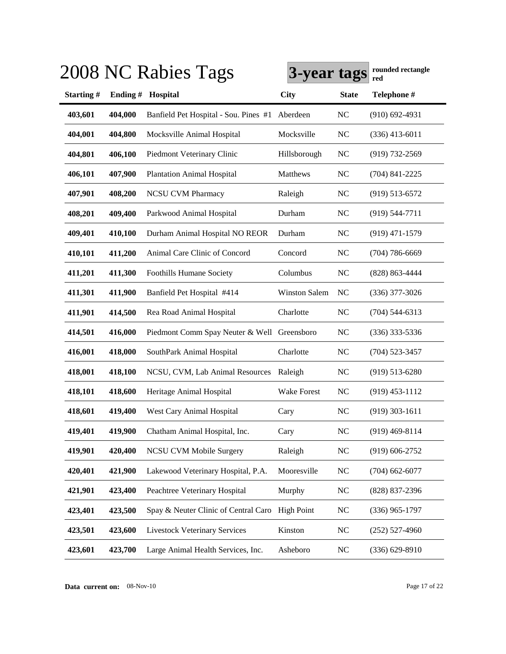|           |            | 2008 NC Rabies Tags                         | 3-year tags          |                | rounded rectangle<br>red |
|-----------|------------|---------------------------------------------|----------------------|----------------|--------------------------|
| Starting# | Ending $#$ | Hospital                                    | City                 | <b>State</b>   | Telephone #              |
| 403,601   | 404,000    | Banfield Pet Hospital - Sou. Pines #1       | Aberdeen             | <b>NC</b>      | $(910)$ 692-4931         |
| 404,001   | 404,800    | Mocksville Animal Hospital                  | Mocksville           | <b>NC</b>      | $(336)$ 413-6011         |
| 404,801   | 406,100    | Piedmont Veterinary Clinic                  | Hillsborough         | <b>NC</b>      | $(919) 732 - 2569$       |
| 406,101   | 407,900    | <b>Plantation Animal Hospital</b>           | Matthews             | <b>NC</b>      | $(704)$ 841-2225         |
| 407,901   | 408,200    | <b>NCSU CVM Pharmacy</b>                    | Raleigh              | <b>NC</b>      | $(919) 513 - 6572$       |
| 408,201   | 409,400    | Parkwood Animal Hospital                    | Durham               | <b>NC</b>      | $(919) 544 - 7711$       |
| 409,401   | 410,100    | Durham Animal Hospital NO REOR              | Durham               | NC             | $(919)$ 471-1579         |
| 410,101   | 411,200    | Animal Care Clinic of Concord               | Concord              | <b>NC</b>      | $(704) 786 - 6669$       |
| 411,201   | 411,300    | <b>Foothills Humane Society</b>             | Columbus             | <b>NC</b>      | (828) 863-4444           |
| 411,301   | 411,900    | Banfield Pet Hospital #414                  | <b>Winston Salem</b> | <b>NC</b>      | $(336)$ 377-3026         |
| 411,901   | 414,500    | Rea Road Animal Hospital                    | Charlotte            | N <sub>C</sub> | $(704)$ 544-6313         |
| 414,501   | 416,000    | Piedmont Comm Spay Neuter & Well Greensboro |                      | <b>NC</b>      | $(336)$ 333-5336         |
| 416,001   | 418,000    | SouthPark Animal Hospital                   | Charlotte            | <b>NC</b>      | $(704)$ 523-3457         |
| 418,001   | 418,100    | NCSU, CVM, Lab Animal Resources             | Raleigh              | <b>NC</b>      | $(919) 513 - 6280$       |
| 418,101   | 418,600    | Heritage Animal Hospital                    | Wake Forest          | <b>NC</b>      | $(919)$ 453-1112         |
| 418,601   | 419,400    | West Cary Animal Hospital                   | Cary                 | NC             | $(919)$ 303-1611         |
| 419,401   | 419,900    | Chatham Animal Hospital, Inc.               | Cary                 | <b>NC</b>      | $(919)$ 469-8114         |
| 419,901   | 420,400    | <b>NCSU CVM Mobile Surgery</b>              | Raleigh              | $NC$           | $(919) 606 - 2752$       |
| 420,401   | 421,900    | Lakewood Veterinary Hospital, P.A.          | Mooresville          | <b>NC</b>      | $(704)$ 662-6077         |
| 421,901   | 423,400    | Peachtree Veterinary Hospital               | Murphy               | <b>NC</b>      | $(828)$ 837-2396         |
| 423,401   | 423,500    | Spay & Neuter Clinic of Central Caro        | <b>High Point</b>    | <b>NC</b>      | $(336)$ 965-1797         |
| 423,501   | 423,600    | <b>Livestock Veterinary Services</b>        | Kinston              | <b>NC</b>      | $(252)$ 527-4960         |
| 423,601   | 423,700    | Large Animal Health Services, Inc.          | Asheboro             | <b>NC</b>      | $(336) 629 - 8910$       |

**Data current on:** 08-Nov-10 Page 17 of 22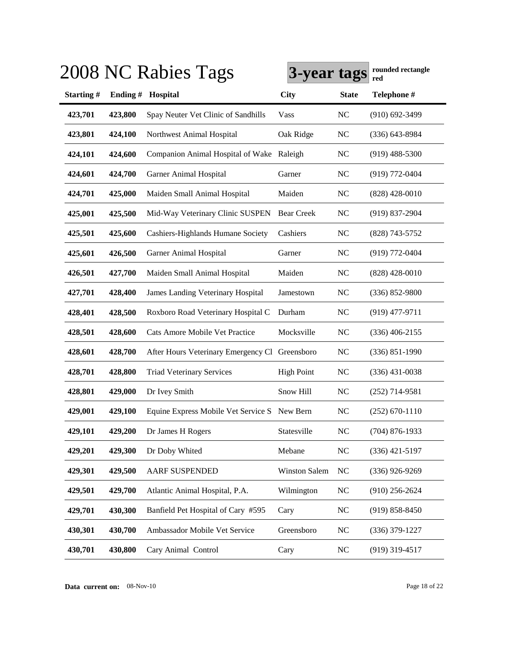|           |         | 2008 NC Rabies Tags                            | 3-year tags          |                | rounded rectangle<br>red |
|-----------|---------|------------------------------------------------|----------------------|----------------|--------------------------|
| Starting# | Ending# | Hospital                                       | <b>City</b>          | <b>State</b>   | Telephone #              |
| 423,701   | 423,800 | Spay Neuter Vet Clinic of Sandhills            | Vass                 | NC             | $(910)$ 692-3499         |
| 423,801   | 424,100 | Northwest Animal Hospital                      | Oak Ridge            | N <sub>C</sub> | $(336)$ 643-8984         |
| 424,101   | 424,600 | Companion Animal Hospital of Wake Raleigh      |                      | N <sub>C</sub> | $(919)$ 488-5300         |
| 424,601   | 424,700 | Garner Animal Hospital                         | Garner               | N <sub>C</sub> | $(919)$ 772-0404         |
| 424,701   | 425,000 | Maiden Small Animal Hospital                   | Maiden               | N <sub>C</sub> | $(828)$ 428-0010         |
| 425,001   | 425,500 | Mid-Way Veterinary Clinic SUSPEN               | <b>Bear Creek</b>    | N <sub>C</sub> | $(919)$ 837-2904         |
| 425,501   | 425,600 | Cashiers-Highlands Humane Society              | Cashiers             | N <sub>C</sub> | (828) 743-5752           |
| 425,601   | 426,500 | <b>Garner Animal Hospital</b>                  | Garner               | N <sub>C</sub> | $(919) 772 - 0404$       |
| 426,501   | 427,700 | Maiden Small Animal Hospital                   | Maiden               | N <sub>C</sub> | $(828)$ 428-0010         |
| 427,701   | 428,400 | <b>James Landing Veterinary Hospital</b>       | Jamestown            | N <sub>C</sub> | $(336) 852 - 9800$       |
| 428,401   | 428,500 | Roxboro Road Veterinary Hospital C             | Durham               | N <sub>C</sub> | $(919)$ 477-9711         |
| 428,501   | 428,600 | Cats Amore Mobile Vet Practice                 | Mocksville           | N <sub>C</sub> | $(336)$ 406-2155         |
| 428,601   | 428,700 | After Hours Veterinary Emergency Cl Greensboro |                      | N <sub>C</sub> | $(336) 851 - 1990$       |
| 428,701   | 428,800 | <b>Triad Veterinary Services</b>               | <b>High Point</b>    | N <sub>C</sub> | $(336)$ 431-0038         |
| 428,801   | 429,000 | Dr Ivey Smith                                  | Snow Hill            | N <sub>C</sub> | $(252)$ 714-9581         |
| 429,001   | 429,100 | Equine Express Mobile Vet Service S            | New Bern             | NC             | $(252) 670 - 1110$       |
| 429,101   | 429,200 | Dr James H Rogers                              | Statesville          | NC             | $(704)$ 876-1933         |
| 429,201   | 429,300 | Dr Doby Whited                                 | Mebane               | NC             | $(336)$ 421-5197         |
| 429,301   | 429,500 | <b>AARF SUSPENDED</b>                          | <b>Winston Salem</b> | NC             | $(336)$ 926-9269         |
| 429,501   | 429,700 | Atlantic Animal Hospital, P.A.                 | Wilmington           | <b>NC</b>      | $(910)$ 256-2624         |
| 429,701   | 430,300 | Banfield Pet Hospital of Cary #595             | Cary                 | <b>NC</b>      | $(919) 858 - 8450$       |
| 430,301   | 430,700 | Ambassador Mobile Vet Service                  | Greensboro           | NC             | $(336)$ 379-1227         |
| 430,701   | 430,800 | Cary Animal Control                            | Cary                 | <b>NC</b>      | $(919)$ 319-4517         |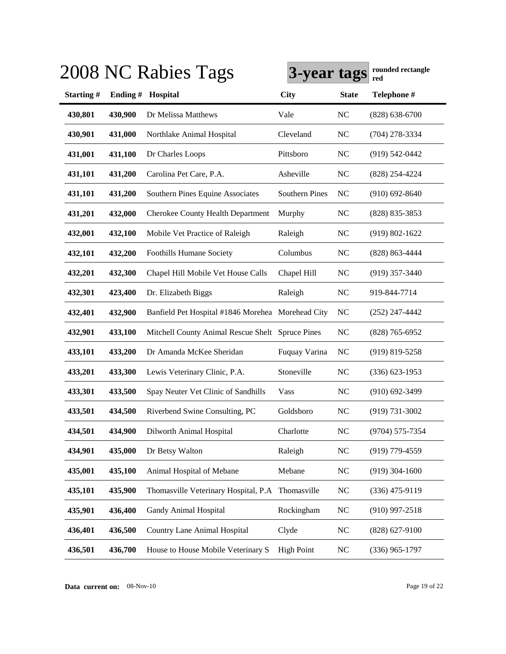|           |         | 2008 NC Rabies Tags                               | 3-year tags           |                | rounded rectangle<br>red |
|-----------|---------|---------------------------------------------------|-----------------------|----------------|--------------------------|
| Starting# | Ending# | Hospital                                          | <b>City</b>           | <b>State</b>   | Telephone #              |
| 430,801   | 430,900 | Dr Melissa Matthews                               | Vale                  | NC             | $(828) 638 - 6700$       |
| 430,901   | 431,000 | Northlake Animal Hospital                         | Cleveland             | <b>NC</b>      | (704) 278-3334           |
| 431,001   | 431,100 | Dr Charles Loops                                  | Pittsboro             | NC             | $(919) 542 - 0442$       |
| 431,101   | 431,200 | Carolina Pet Care, P.A.                           | Asheville             | <b>NC</b>      | (828) 254-4224           |
| 431,101   | 431,200 | Southern Pines Equine Associates                  | <b>Southern Pines</b> | <b>NC</b>      | $(910) 692 - 8640$       |
| 431,201   | 432,000 | <b>Cherokee County Health Department</b>          | Murphy                | <b>NC</b>      | (828) 835-3853           |
| 432,001   | 432,100 | Mobile Vet Practice of Raleigh                    | Raleigh               | <b>NC</b>      | $(919) 802 - 1622$       |
| 432,101   | 432,200 | Foothills Humane Society                          | Columbus              | <b>NC</b>      | (828) 863-4444           |
| 432,201   | 432,300 | Chapel Hill Mobile Vet House Calls                | Chapel Hill           | <b>NC</b>      | $(919)$ 357-3440         |
| 432,301   | 423,400 | Dr. Elizabeth Biggs                               | Raleigh               | <b>NC</b>      | 919-844-7714             |
| 432,401   | 432,900 | Banfield Pet Hospital #1846 Morehea Morehead City |                       | <b>NC</b>      | $(252)$ 247-4442         |
| 432,901   | 433,100 | Mitchell County Animal Rescue Shelt Spruce Pines  |                       | <b>NC</b>      | $(828)$ 765-6952         |
| 433,101   | 433,200 | Dr Amanda McKee Sheridan                          | Fuquay Varina         | <b>NC</b>      | $(919)$ 819-5258         |
| 433,201   | 433,300 | Lewis Veterinary Clinic, P.A.                     | Stoneville            | <b>NC</b>      | $(336)$ 623-1953         |
| 433,301   | 433,500 | Spay Neuter Vet Clinic of Sandhills               | Vass                  | <b>NC</b>      | $(910)$ 692-3499         |
| 433,501   | 434,500 | Riverbend Swine Consulting, PC                    | Goldsboro             | <b>NC</b>      | (919) 731-3002           |
| 434,501   | 434,900 | Dilworth Animal Hospital                          | Charlotte             | <b>NC</b>      | (9704) 575-7354          |
| 434,901   | 435,000 | Dr Betsy Walton                                   | Raleigh               | NC             | $(919)$ 779-4559         |
| 435,001   | 435,100 | Animal Hospital of Mebane                         | Mebane                | <b>NC</b>      | $(919)$ 304-1600         |
| 435,101   | 435,900 | Thomasville Veterinary Hospital, P.A              | Thomasville           | $\rm NC$       | $(336)$ 475-9119         |
| 435,901   | 436,400 | Gandy Animal Hospital                             | Rockingham            | NC             | $(910)$ 997-2518         |
| 436,401   | 436,500 | <b>Country Lane Animal Hospital</b>               | Clyde                 | <b>NC</b>      | $(828)$ 627-9100         |
| 436,501   | 436,700 | House to House Mobile Veterinary S                | <b>High Point</b>     | N <sub>C</sub> | $(336)$ 965-1797         |

**Data current on:** 08-Nov-10 Page 19 of 22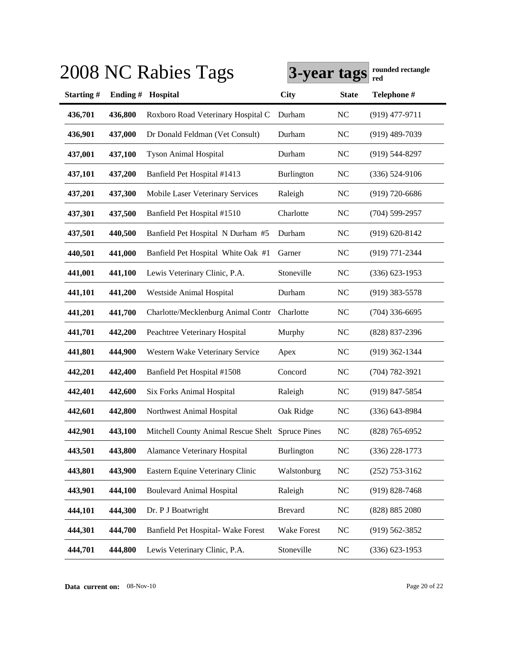|           |         | 2008 NC Rabies Tags                              | 3-year tags       |                | rounded rectangle<br>red |
|-----------|---------|--------------------------------------------------|-------------------|----------------|--------------------------|
| Starting# | Ending# | Hospital                                         | <b>City</b>       | <b>State</b>   | Telephone #              |
| 436,701   | 436,800 | Roxboro Road Veterinary Hospital C               | Durham            | <b>NC</b>      | $(919)$ 477-9711         |
| 436,901   | 437,000 | Dr Donald Feldman (Vet Consult)                  | Durham            | <b>NC</b>      | $(919)$ 489-7039         |
| 437,001   | 437,100 | <b>Tyson Animal Hospital</b>                     | Durham            | <b>NC</b>      | $(919)$ 544-8297         |
| 437,101   | 437,200 | Banfield Pet Hospital #1413                      | Burlington        | <b>NC</b>      | $(336) 524-9106$         |
| 437,201   | 437,300 | Mobile Laser Veterinary Services                 | Raleigh           | <b>NC</b>      | $(919) 720 - 6686$       |
| 437,301   | 437,500 | Banfield Pet Hospital #1510                      | Charlotte         | <b>NC</b>      | $(704)$ 599-2957         |
| 437,501   | 440,500 | Banfield Pet Hospital N Durham #5                | Durham            | <b>NC</b>      | $(919) 620 - 8142$       |
| 440,501   | 441,000 | Banfield Pet Hospital White Oak #1               | Garner            | <b>NC</b>      | (919) 771-2344           |
| 441,001   | 441,100 | Lewis Veterinary Clinic, P.A.                    | Stoneville        | <b>NC</b>      | $(336) 623 - 1953$       |
| 441,101   | 441,200 | Westside Animal Hospital                         | Durham            | N <sub>C</sub> | $(919)$ 383-5578         |
| 441,201   | 441,700 | Charlotte/Mecklenburg Animal Contr               | Charlotte         | <b>NC</b>      | $(704)$ 336-6695         |
| 441,701   | 442,200 | Peachtree Veterinary Hospital                    | Murphy            | <b>NC</b>      | (828) 837-2396           |
| 441,801   | 444,900 | Western Wake Veterinary Service                  | Apex              | <b>NC</b>      | $(919)$ 362-1344         |
| 442,201   | 442,400 | Banfield Pet Hospital #1508                      | Concord           | <b>NC</b>      | $(704) 782 - 3921$       |
| 442,401   | 442,600 | Six Forks Animal Hospital                        | Raleigh           | <b>NC</b>      | $(919)$ 847-5854         |
| 442,601   | 442,800 | Northwest Animal Hospital                        | Oak Ridge         | <b>NC</b>      | $(336)$ 643-8984         |
| 442,901   | 443,100 | Mitchell County Animal Rescue Shelt Spruce Pines |                   | <b>NC</b>      | $(828)$ 765-6952         |
| 443,501   | 443,800 | Alamance Veterinary Hospital                     | <b>Burlington</b> | <b>NC</b>      | $(336)$ 228-1773         |
| 443,801   | 443,900 | Eastern Equine Veterinary Clinic                 | Walstonburg       | <b>NC</b>      | $(252)$ 753-3162         |
| 443,901   | 444,100 | <b>Boulevard Animal Hospital</b>                 | Raleigh           | <b>NC</b>      | $(919) 828 - 7468$       |
| 444,101   | 444,300 | Dr. P J Boatwright                               | <b>Brevard</b>    | NC             | (828) 885 2080           |
| 444,301   | 444,700 | Banfield Pet Hospital- Wake Forest               | Wake Forest       | <b>NC</b>      | $(919) 562 - 3852$       |
| 444,701   | 444,800 | Lewis Veterinary Clinic, P.A.                    | Stoneville        | <b>NC</b>      | $(336) 623 - 1953$       |

**Data current on:** 08-Nov-10 Page 20 of 22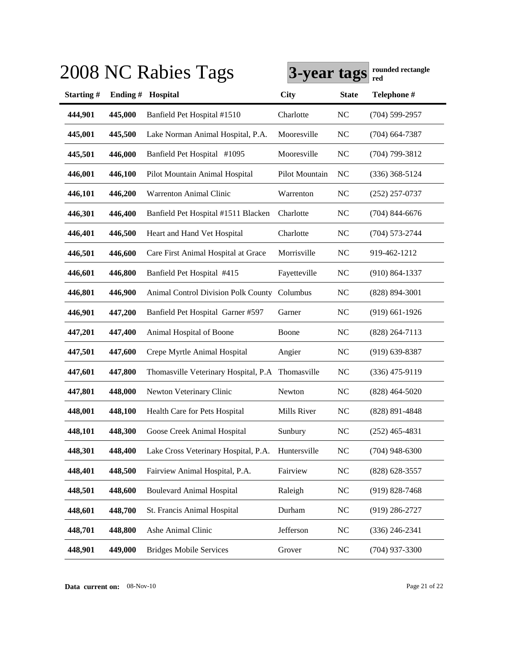|           |         | 2008 NC Rabies Tags                        | 3-year tags    |                | rounded rectangle<br>red |
|-----------|---------|--------------------------------------------|----------------|----------------|--------------------------|
| Starting# | Ending# | Hospital                                   | <b>City</b>    | <b>State</b>   | Telephone #              |
| 444,901   | 445,000 | Banfield Pet Hospital #1510                | Charlotte      | N <sub>C</sub> | $(704)$ 599-2957         |
| 445,001   | 445,500 | Lake Norman Animal Hospital, P.A.          | Mooresville    | <b>NC</b>      | $(704)$ 664-7387         |
| 445,501   | 446,000 | Banfield Pet Hospital #1095                | Mooresville    | <b>NC</b>      | $(704)$ 799-3812         |
| 446,001   | 446,100 | Pilot Mountain Animal Hospital             | Pilot Mountain | N <sub>C</sub> | $(336)$ 368-5124         |
| 446,101   | 446,200 | <b>Warrenton Animal Clinic</b>             | Warrenton      | <b>NC</b>      | $(252)$ 257-0737         |
| 446,301   | 446,400 | Banfield Pet Hospital #1511 Blacken        | Charlotte      | N <sub>C</sub> | $(704)$ 844-6676         |
| 446,401   | 446,500 | Heart and Hand Vet Hospital                | Charlotte      | <b>NC</b>      | $(704) 573 - 2744$       |
| 446,501   | 446,600 | Care First Animal Hospital at Grace        | Morrisville    | <b>NC</b>      | 919-462-1212             |
| 446,601   | 446,800 | Banfield Pet Hospital #415                 | Fayetteville   | <b>NC</b>      | $(910) 864 - 1337$       |
| 446,801   | 446,900 | <b>Animal Control Division Polk County</b> | Columbus       | <b>NC</b>      | $(828) 894 - 3001$       |
| 446,901   | 447,200 | Banfield Pet Hospital Garner #597          | Garner         | N <sub>C</sub> | $(919)$ 661-1926         |
| 447,201   | 447,400 | Animal Hospital of Boone                   | Boone          | <b>NC</b>      | $(828)$ 264-7113         |
| 447,501   | 447,600 | Crepe Myrtle Animal Hospital               | Angier         | <b>NC</b>      | $(919) 639 - 8387$       |
| 447,601   | 447,800 | Thomasville Veterinary Hospital, P.A       | Thomasville    | <b>NC</b>      | $(336)$ 475-9119         |
| 447,801   | 448,000 | Newton Veterinary Clinic                   | Newton         | <b>NC</b>      | $(828)$ 464-5020         |
| 448,001   | 448,100 | Health Care for Pets Hospital              | Mills River    | NC             | (828) 891-4848           |
| 448,101   | 448,300 | Goose Creek Animal Hospital                | Sunbury        | <b>NC</b>      | $(252)$ 465-4831         |
| 448,301   | 448,400 | Lake Cross Veterinary Hospital, P.A.       | Huntersville   | NC             | $(704)$ 948-6300         |
| 448,401   | 448,500 | Fairview Animal Hospital, P.A.             | Fairview       | $NC$           | $(828)$ 628-3557         |
| 448,501   | 448,600 | <b>Boulevard Animal Hospital</b>           | Raleigh        | NC             | $(919)$ 828-7468         |
| 448,601   | 448,700 | St. Francis Animal Hospital                | Durham         | <b>NC</b>      | $(919)$ 286-2727         |
| 448,701   | 448,800 | Ashe Animal Clinic                         | Jefferson      | $NC$           | $(336)$ 246-2341         |
| 448,901   | 449,000 | <b>Bridges Mobile Services</b>             | Grover         | NC             | $(704)$ 937-3300         |